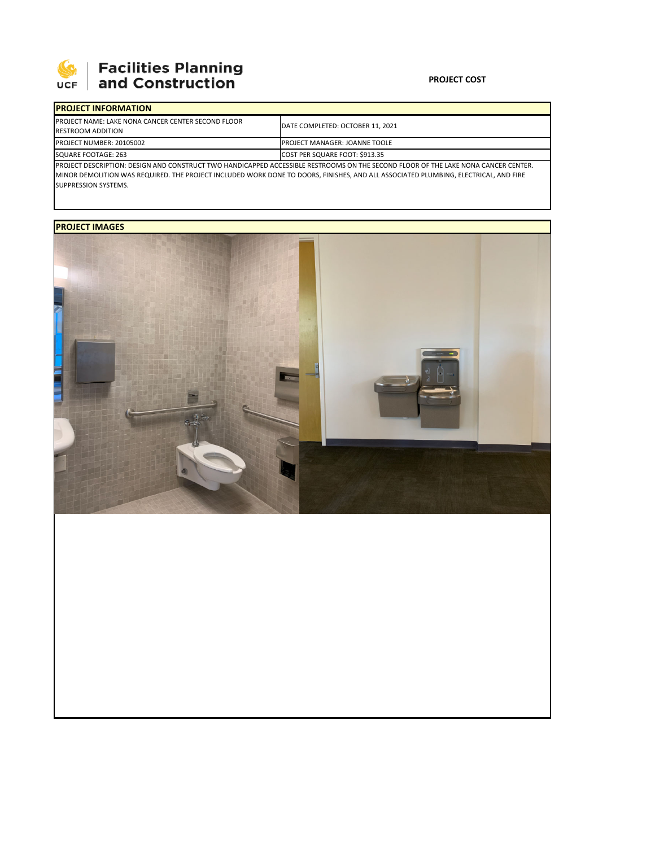

## **Facilities Planning**<br>and Construction

## **PROJECT COST**

| <b>IPROJECT INFORMATION</b>                                                                                                         |                                      |  |  |  |
|-------------------------------------------------------------------------------------------------------------------------------------|--------------------------------------|--|--|--|
| <b>IPROJECT NAME: LAKE NONA CANCER CENTER SECOND FLOOR</b><br><b>RESTROOM ADDITION</b>                                              | DATE COMPLETED: OCTOBER 11, 2021     |  |  |  |
| PROJECT NUMBER: 20105002                                                                                                            | <b>PROJECT MANAGER: JOANNE TOOLE</b> |  |  |  |
| SQUARE FOOTAGE: 263                                                                                                                 | COST PER SQUARE FOOT: \$913.35       |  |  |  |
| IPROJECT DESCRIPTION: DESIGN AND CONSTRUCT TWO HANDICAPPED ACCESSIBLE RESTROOMS ON THE SECOND FLOOR OF THE LAKE NONA CANCER CENTER. |                                      |  |  |  |

MINOR DEMOLITION WAS REQUIRED. THE PROJECT INCLUDED WORK DONE TO DOORS, FINISHES, AND ALL ASSOCIATED PLUMBING, ELECTRICAL, AND FIRE SUPPRESSION SYSTEMS.

## **PROJECT IMAGES**